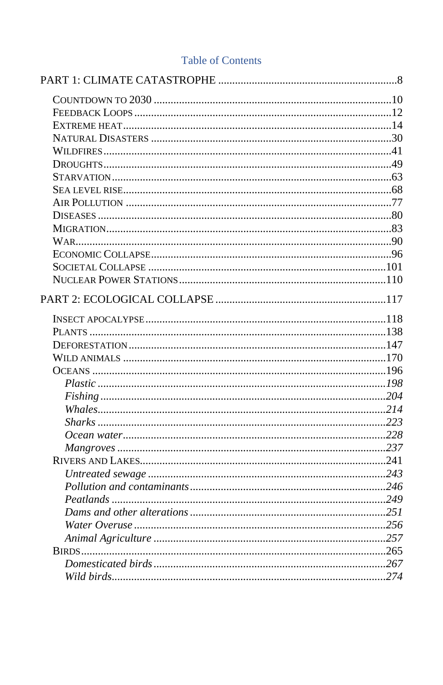## **Table of Contents**